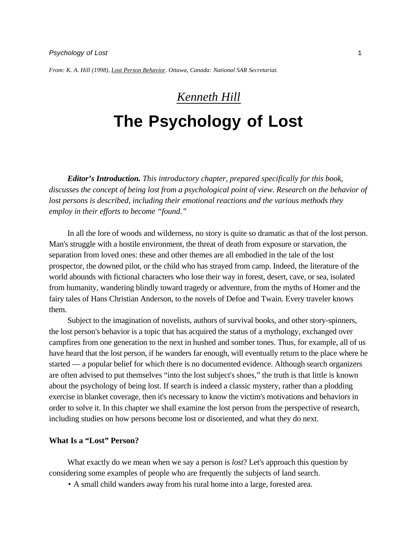*From: K. A. Hill (1998), Lost Person Behavior*. *Ottawa, Canada: National SAR Secretariat.*

# *Kenneth Hill* **The Psychology of Lost**

*Editor's Introduction. This introductory chapter, prepared specifically for this book, discusses the concept of being lost from a psychological point of view. Research on the behavior of lost persons is described, including their emotional reactions and the various methods they employ in their efforts to become "found."* 

In all the lore of woods and wilderness, no story is quite so dramatic as that of the lost person. Man's struggle with a hostile environment, the threat of death from exposure or starvation, the separation from loved ones: these and other themes are all embodied in the tale of the lost prospector, the downed pilot, or the child who has strayed from camp. Indeed, the literature of the world abounds with fictional characters who lose their way in forest, desert, cave, or sea, isolated from humanity, wandering blindly toward tragedy or adventure, from the myths of Homer and the fairy tales of Hans Christian Anderson, to the novels of Defoe and Twain. Every traveler knows them.

Subject to the imagination of novelists, authors of survival books, and other story-spinners, the lost person's behavior is a topic that has acquired the status of a mythology, exchanged over campfires from one generation to the next in hushed and somber tones. Thus, for example, all of us have heard that the lost person, if he wanders far enough, will eventually return to the place where he started — a popular belief for which there is no documented evidence. Although search organizers are often advised to put themselves "into the lost subject's shoes," the truth is that little is known about the psychology of being lost. If search is indeed a classic mystery, rather than a plodding exercise in blanket coverage, then it's necessary to know the victim's motivations and behaviors in order to solve it. In this chapter we shall examine the lost person from the perspective of research, including studies on how persons become lost or disoriented, and what they do next.

## **What Is a "Lost" Person?**

What exactly do we mean when we say a person is *lost*? Let's approach this question by considering some examples of people who are frequently the subjects of land search.

• A small child wanders away from his rural home into a large, forested area.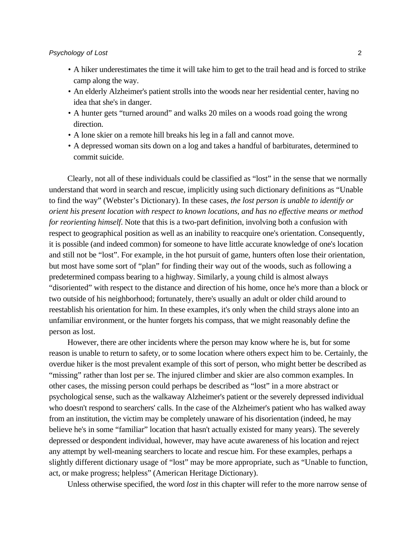- A hiker underestimates the time it will take him to get to the trail head and is forced to strike camp along the way.
- An elderly Alzheimer's patient strolls into the woods near her residential center, having no idea that she's in danger.
- A hunter gets "turned around" and walks 20 miles on a woods road going the wrong direction.
- A lone skier on a remote hill breaks his leg in a fall and cannot move.
- A depressed woman sits down on a log and takes a handful of barbiturates, determined to commit suicide.

Clearly, not all of these individuals could be classified as "lost" in the sense that we normally understand that word in search and rescue, implicitly using such dictionary definitions as "Unable to find the way" (Webster's Dictionary). In these cases, *the lost person is unable to identify or orient his present location with respect to known locations, and has no effective means or method for reorienting himself*. Note that this is a two-part definition, involving both a confusion with respect to geographical position as well as an inability to reacquire one's orientation. Consequently, it is possible (and indeed common) for someone to have little accurate knowledge of one's location and still not be "lost". For example, in the hot pursuit of game, hunters often lose their orientation, but most have some sort of "plan" for finding their way out of the woods, such as following a predetermined compass bearing to a highway. Similarly, a young child is almost always "disoriented" with respect to the distance and direction of his home, once he's more than a block or two outside of his neighborhood; fortunately, there's usually an adult or older child around to reestablish his orientation for him. In these examples, it's only when the child strays alone into an unfamiliar environment, or the hunter forgets his compass, that we might reasonably define the person as lost.

However, there are other incidents where the person may know where he is, but for some reason is unable to return to safety, or to some location where others expect him to be. Certainly, the overdue hiker is the most prevalent example of this sort of person, who might better be described as "missing" rather than lost per se. The injured climber and skier are also common examples. In other cases, the missing person could perhaps be described as "lost" in a more abstract or psychological sense, such as the walkaway Alzheimer's patient or the severely depressed individual who doesn't respond to searchers' calls. In the case of the Alzheimer's patient who has walked away from an institution, the victim may be completely unaware of his disorientation (indeed, he may believe he's in some "familiar" location that hasn't actually existed for many years). The severely depressed or despondent individual, however, may have acute awareness of his location and reject any attempt by well-meaning searchers to locate and rescue him. For these examples, perhaps a slightly different dictionary usage of "lost" may be more appropriate, such as "Unable to function, act, or make progress; helpless" (American Heritage Dictionary).

Unless otherwise specified, the word *lost* in this chapter will refer to the more narrow sense of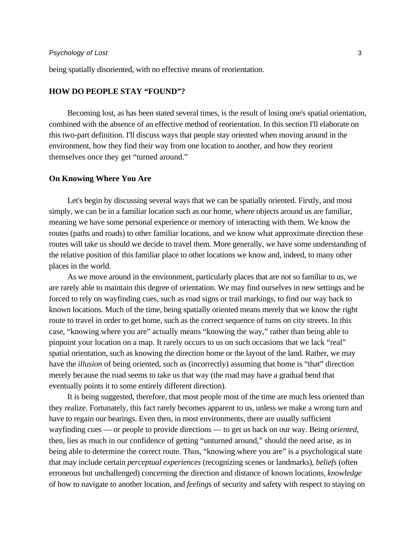being spatially disoriented, with no effective means of reorientation.

## **HOW DO PEOPLE STAY "FOUND"?**

Becoming lost, as has been stated several times, is the result of losing one's spatial orientation, combined with the absence of an effective method of reorientation. In this section I'll elaborate on this two-part definition. I'll discuss ways that people stay oriented when moving around in the environment, how they find their way from one location to another, and how they reorient themselves once they get "turned around."

#### **On Knowing Where You Are**

Let's begin by discussing several ways that we can be spatially oriented. Firstly, and most simply, we can be in a familiar location such as our home, where objects around us are familiar, meaning we have some personal experience or memory of interacting with them. We know the routes (paths and roads) to other familiar locations, and we know what approximate direction these routes will take us should we decide to travel them. More generally, we have some understanding of the relative position of this familiar place to other locations we know and, indeed, to many other places in the world.

As we move around in the environment, particularly places that are not so familiar to us, we are rarely able to maintain this degree of orientation. We may find ourselves in new settings and be forced to rely on wayfinding cues, such as road signs or trail markings, to find our way back to known locations. Much of the time, being spatially oriented means merely that we know the right route to travel in order to get home, such as the correct sequence of turns on city streets. In this case, "knowing where you are" actually means "knowing the way," rather than being able to pinpoint your location on a map. It rarely occurs to us on such occasions that we lack "real" spatial orientation, such as knowing the direction home or the layout of the land. Rather, we may have the *illusion* of being oriented, such as (incorrectly) assuming that home is "that" direction merely because the road seems to take us that way (the road may have a gradual bend that eventually points it to some entirely different direction).

It is being suggested, therefore, that most people most of the time are much less oriented than they realize. Fortunately, this fact rarely becomes apparent to us, unless we make a wrong turn and have to regain our bearings. Even then, in most environments, there are usually sufficient wayfinding cues — or people to provide directions — to get us back on our way. Being *oriented*, then, lies as much in our confidence of getting "unturned around," should the need arise, as in being able to determine the correct route. Thus, "knowing where you are" is a psychological state that may include certain *perceptual experiences* (recognizing scenes or landmarks), *beliefs* (often erroneous but unchallenged) concerning the direction and distance of known locations, *knowledge* of how to navigate to another location, and *feelings* of security and safety with respect to staying on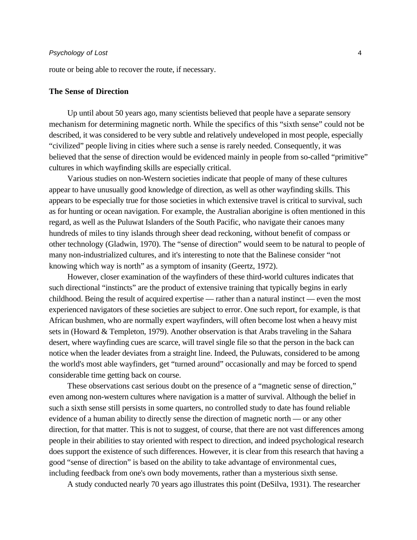route or being able to recover the route, if necessary.

# **The Sense of Direction**

Up until about 50 years ago, many scientists believed that people have a separate sensory mechanism for determining magnetic north. While the specifics of this "sixth sense" could not be described, it was considered to be very subtle and relatively undeveloped in most people, especially "civilized" people living in cities where such a sense is rarely needed. Consequently, it was believed that the sense of direction would be evidenced mainly in people from so-called "primitive" cultures in which wayfinding skills are especially critical.

Various studies on non-Western societies indicate that people of many of these cultures appear to have unusually good knowledge of direction, as well as other wayfinding skills. This appears to be especially true for those societies in which extensive travel is critical to survival, such as for hunting or ocean navigation. For example, the Australian aborigine is often mentioned in this regard, as well as the Puluwat Islanders of the South Pacific, who navigate their canoes many hundreds of miles to tiny islands through sheer dead reckoning, without benefit of compass or other technology (Gladwin, 1970). The "sense of direction" would seem to be natural to people of many non-industrialized cultures, and it's interesting to note that the Balinese consider "not knowing which way is north" as a symptom of insanity (Geertz, 1972).

However, closer examination of the wayfinders of these third-world cultures indicates that such directional "instincts" are the product of extensive training that typically begins in early childhood. Being the result of acquired expertise — rather than a natural instinct — even the most experienced navigators of these societies are subject to error. One such report, for example, is that African bushmen, who are normally expert wayfinders, will often become lost when a heavy mist sets in (Howard & Templeton, 1979). Another observation is that Arabs traveling in the Sahara desert, where wayfinding cues are scarce, will travel single file so that the person in the back can notice when the leader deviates from a straight line. Indeed, the Puluwats, considered to be among the world's most able wayfinders, get "turned around" occasionally and may be forced to spend considerable time getting back on course.

These observations cast serious doubt on the presence of a "magnetic sense of direction," even among non-western cultures where navigation is a matter of survival. Although the belief in such a sixth sense still persists in some quarters, no controlled study to date has found reliable evidence of a human ability to directly sense the direction of magnetic north — or any other direction, for that matter. This is not to suggest, of course, that there are not vast differences among people in their abilities to stay oriented with respect to direction, and indeed psychological research does support the existence of such differences. However, it is clear from this research that having a good "sense of direction" is based on the ability to take advantage of environmental cues, including feedback from one's own body movements, rather than a mysterious sixth sense.

A study conducted nearly 70 years ago illustrates this point (DeSilva, 1931). The researcher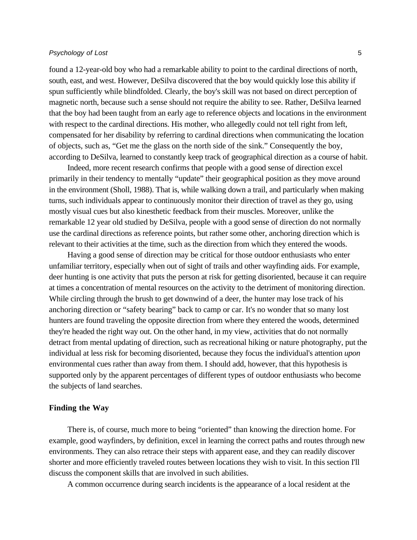found a 12-year-old boy who had a remarkable ability to point to the cardinal directions of north, south, east, and west. However, DeSilva discovered that the boy would quickly lose this ability if spun sufficiently while blindfolded. Clearly, the boy's skill was not based on direct perception of magnetic north, because such a sense should not require the ability to see. Rather, DeSilva learned that the boy had been taught from an early age to reference objects and locations in the environment with respect to the cardinal directions. His mother, who allegedly could not tell right from left, compensated for her disability by referring to cardinal directions when communicating the location of objects, such as, "Get me the glass on the north side of the sink." Consequently the boy, according to DeSilva, learned to constantly keep track of geographical direction as a course of habit.

Indeed, more recent research confirms that people with a good sense of direction excel primarily in their tendency to mentally "update" their geographical position as they move around in the environment (Sholl, 1988). That is, while walking down a trail, and particularly when making turns, such individuals appear to continuously monitor their direction of travel as they go, using mostly visual cues but also kinesthetic feedback from their muscles. Moreover, unlike the remarkable 12 year old studied by DeSilva, people with a good sense of direction do not normally use the cardinal directions as reference points, but rather some other, anchoring direction which is relevant to their activities at the time, such as the direction from which they entered the woods.

Having a good sense of direction may be critical for those outdoor enthusiasts who enter unfamiliar territory, especially when out of sight of trails and other wayfinding aids. For example, deer hunting is one activity that puts the person at risk for getting disoriented, because it can require at times a concentration of mental resources on the activity to the detriment of monitoring direction. While circling through the brush to get downwind of a deer, the hunter may lose track of his anchoring direction or "safety bearing" back to camp or car. It's no wonder that so many lost hunters are found traveling the opposite direction from where they entered the woods, determined they're headed the right way out. On the other hand, in my view, activities that do not normally detract from mental updating of direction, such as recreational hiking or nature photography, put the individual at less risk for becoming disoriented, because they focus the individual's attention *upon* environmental cues rather than away from them. I should add, however, that this hypothesis is supported only by the apparent percentages of different types of outdoor enthusiasts who become the subjects of land searches.

#### **Finding the Way**

There is, of course, much more to being "oriented" than knowing the direction home. For example, good wayfinders, by definition, excel in learning the correct paths and routes through new environments. They can also retrace their steps with apparent ease, and they can readily discover shorter and more efficiently traveled routes between locations they wish to visit. In this section I'll discuss the component skills that are involved in such abilities.

A common occurrence during search incidents is the appearance of a local resident at the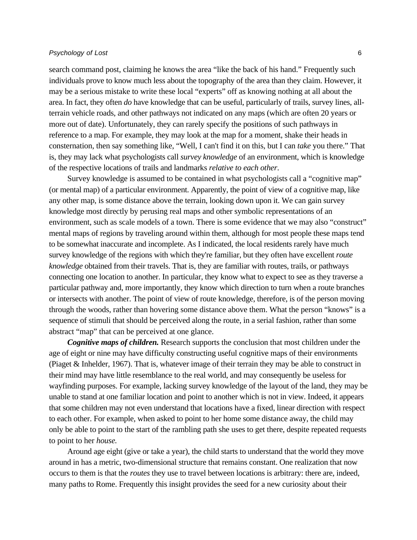search command post, claiming he knows the area "like the back of his hand." Frequently such individuals prove to know much less about the topography of the area than they claim. However, it may be a serious mistake to write these local "experts" off as knowing nothing at all about the area. In fact, they often *do* have knowledge that can be useful, particularly of trails, survey lines, allterrain vehicle roads, and other pathways not indicated on any maps (which are often 20 years or more out of date). Unfortunately, they can rarely specify the positions of such pathways in reference to a map. For example, they may look at the map for a moment, shake their heads in consternation, then say something like, "Well, I can't find it on this, but I can *take* you there." That is, they may lack what psychologists call *survey knowledge* of an environment, which is knowledge of the respective locations of trails and landmarks *relative to each other*.

Survey knowledge is assumed to be contained in what psychologists call a "cognitive map" (or mental map) of a particular environment. Apparently, the point of view of a cognitive map, like any other map, is some distance above the terrain, looking down upon it. We can gain survey knowledge most directly by perusing real maps and other symbolic representations of an environment, such as scale models of a town. There is some evidence that we may also "construct" mental maps of regions by traveling around within them, although for most people these maps tend to be somewhat inaccurate and incomplete. As I indicated, the local residents rarely have much survey knowledge of the regions with which they're familiar, but they often have excellent *route knowledge* obtained from their travels. That is, they are familiar with routes, trails, or pathways connecting one location to another. In particular, they know what to expect to see as they traverse a particular pathway and, more importantly, they know which direction to turn when a route branches or intersects with another. The point of view of route knowledge, therefore, is of the person moving through the woods, rather than hovering some distance above them. What the person "knows" is a sequence of stimuli that should be perceived along the route, in a serial fashion, rather than some abstract "map" that can be perceived at one glance.

*Cognitive maps of children.* Research supports the conclusion that most children under the age of eight or nine may have difficulty constructing useful cognitive maps of their environments (Piaget & Inhelder, 1967). That is, whatever image of their terrain they may be able to construct in their mind may have little resemblance to the real world, and may consequently be useless for wayfinding purposes. For example, lacking survey knowledge of the layout of the land, they may be unable to stand at one familiar location and point to another which is not in view. Indeed, it appears that some children may not even understand that locations have a fixed, linear direction with respect to each other. For example, when asked to point to her home some distance away, the child may only be able to point to the start of the rambling path she uses to get there, despite repeated requests to point to her *house.* 

Around age eight (give or take a year), the child starts to understand that the world they move around in has a metric, two-dimensional structure that remains constant. One realization that now occurs to them is that the *routes* they use to travel between locations is arbitrary: there are, indeed, many paths to Rome. Frequently this insight provides the seed for a new curiosity about their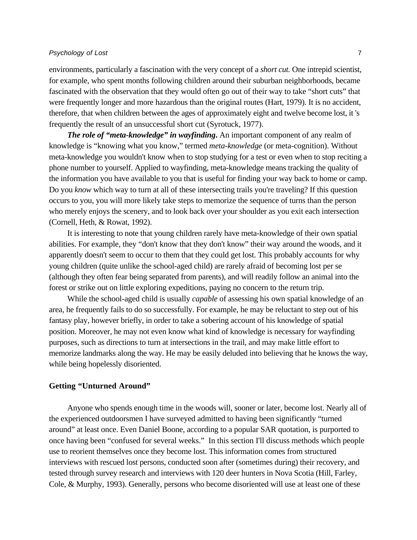environments, particularly a fascination with the very concept of a *short cut.* One intrepid scientist, for example, who spent months following children around their suburban neighborhoods, became fascinated with the observation that they would often go out of their way to take "short cuts" that were frequently longer and more hazardous than the original routes (Hart, 1979). It is no accident, therefore, that when children between the ages of approximately eight and twelve become lost, it 's frequently the result of an unsuccessful short cut (Syrotuck, 1977).

*The role of "meta-knowledge" in wayfinding***.** An important component of any realm of knowledge is "knowing what you know," termed *meta-knowledge* (or meta-cognition). Without meta-knowledge you wouldn't know when to stop studying for a test or even when to stop reciting a phone number to yourself. Applied to wayfinding, meta-knowledge means tracking the quality of the information you have available to you that is useful for finding your way back to home or camp. Do you *know* which way to turn at all of these intersecting trails you're traveling? If this question occurs to you, you will more likely take steps to memorize the sequence of turns than the person who merely enjoys the scenery, and to look back over your shoulder as you exit each intersection (Cornell, Heth, & Rowat, 1992).

It is interesting to note that young children rarely have meta-knowledge of their own spatial abilities. For example, they "don't know that they don't know" their way around the woods, and it apparently doesn't seem to occur to them that they could get lost. This probably accounts for why young children (quite unlike the school-aged child) are rarely afraid of becoming lost per se (although they often fear being separated from parents), and will readily follow an animal into the forest or strike out on little exploring expeditions, paying no concern to the return trip.

While the school-aged child is usually *capable* of assessing his own spatial knowledge of an area, he frequently fails to do so successfully. For example, he may be reluctant to step out of his fantasy play, however briefly, in order to take a sobering account of his knowledge of spatial position. Moreover, he may not even know what kind of knowledge is necessary for wayfinding purposes, such as directions to turn at intersections in the trail, and may make little effort to memorize landmarks along the way. He may be easily deluded into believing that he knows the way, while being hopelessly disoriented.

# **Getting "Unturned Around"**

Anyone who spends enough time in the woods will, sooner or later, become lost. Nearly all of the experienced outdoorsmen I have surveyed admitted to having been significantly "turned around" at least once. Even Daniel Boone, according to a popular SAR quotation, is purported to once having been "confused for several weeks." In this section I'll discuss methods which people use to reorient themselves once they become lost. This information comes from structured interviews with rescued lost persons, conducted soon after (sometimes during) their recovery, and tested through survey research and interviews with 120 deer hunters in Nova Scotia (Hill, Farley, Cole, & Murphy, 1993). Generally, persons who become disoriented will use at least one of these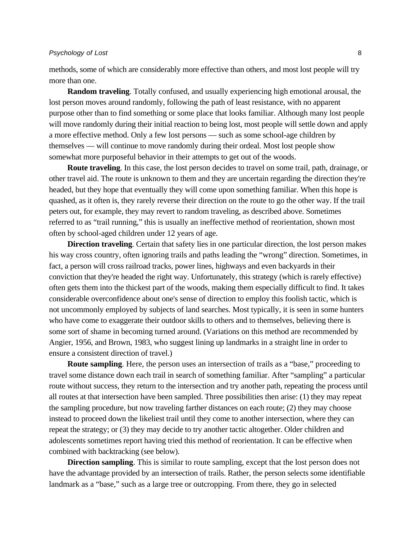#### Psychology of Lost 8 and 2008 8 and 2008 8 and 2008 8 and 2008 8 and 2008 8 and 2008 8 and 2008 8 and 2008 8 and 2008 8 and 2008 8 and 2008 8 and 2008 8 and 2008 8 and 2008 8 and 2008 8 and 2008 8 and 2008 8 and 2008 8 and

methods, some of which are considerably more effective than others, and most lost people will try more than one.

**Random traveling**. Totally confused, and usually experiencing high emotional arousal, the lost person moves around randomly, following the path of least resistance, with no apparent purpose other than to find something or some place that looks familiar. Although many lost people will move randomly during their initial reaction to being lost, most people will settle down and apply a more effective method. Only a few lost persons — such as some school-age children by themselves — will continue to move randomly during their ordeal. Most lost people show somewhat more purposeful behavior in their attempts to get out of the woods.

**Route traveling**. In this case, the lost person decides to travel on some trail, path, drainage, or other travel aid. The route is unknown to them and they are uncertain regarding the direction they're headed, but they hope that eventually they will come upon something familiar. When this hope is quashed, as it often is, they rarely reverse their direction on the route to go the other way. If the trail peters out, for example, they may revert to random traveling, as described above. Sometimes referred to as "trail running," this is usually an ineffective method of reorientation, shown most often by school-aged children under 12 years of age.

**Direction traveling**. Certain that safety lies in one particular direction, the lost person makes his way cross country, often ignoring trails and paths leading the "wrong" direction. Sometimes, in fact, a person will cross railroad tracks, power lines, highways and even backyards in their conviction that they're headed the right way. Unfortunately, this strategy (which is rarely effective) often gets them into the thickest part of the woods, making them especially difficult to find. It takes considerable overconfidence about one's sense of direction to employ this foolish tactic, which is not uncommonly employed by subjects of land searches. Most typically, it is seen in some hunters who have come to exaggerate their outdoor skills to others and to themselves, believing there is some sort of shame in becoming turned around. (Variations on this method are recommended by Angier, 1956, and Brown, 1983, who suggest lining up landmarks in a straight line in order to ensure a consistent direction of travel.)

**Route sampling**. Here, the person uses an intersection of trails as a "base," proceeding to travel some distance down each trail in search of something familiar. After "sampling" a particular route without success, they return to the intersection and try another path, repeating the process until all routes at that intersection have been sampled. Three possibilities then arise: (1) they may repeat the sampling procedure, but now traveling farther distances on each route; (2) they may choose instead to proceed down the likeliest trail until they come to another intersection, where they can repeat the strategy; or (3) they may decide to try another tactic altogether. Older children and adolescents sometimes report having tried this method of reorientation. It can be effective when combined with backtracking (see below).

**Direction sampling**. This is similar to route sampling, except that the lost person does not have the advantage provided by an intersection of trails. Rather, the person selects some identifiable landmark as a "base," such as a large tree or outcropping. From there, they go in selected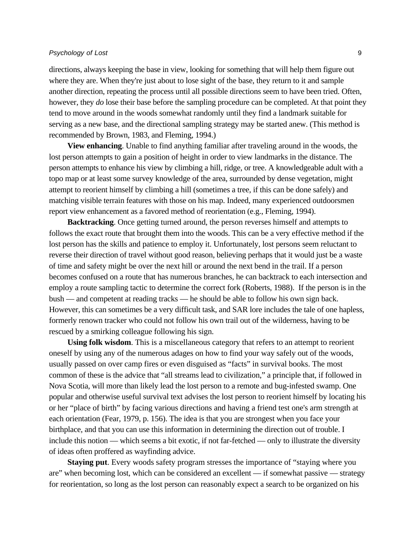directions, always keeping the base in view, looking for something that will help them figure out where they are. When they're just about to lose sight of the base, they return to it and sample another direction, repeating the process until all possible directions seem to have been tried. Often, however, they *do* lose their base before the sampling procedure can be completed. At that point they tend to move around in the woods somewhat randomly until they find a landmark suitable for serving as a new base, and the directional sampling strategy may be started anew. (This method is recommended by Brown, 1983, and Fleming, 1994.)

**View enhancing**. Unable to find anything familiar after traveling around in the woods, the lost person attempts to gain a position of height in order to view landmarks in the distance. The person attempts to enhance his view by climbing a hill, ridge, or tree. A knowledgeable adult with a topo map or at least some survey knowledge of the area, surrounded by dense vegetation, might attempt to reorient himself by climbing a hill (sometimes a tree, if this can be done safely) and matching visible terrain features with those on his map. Indeed, many experienced outdoorsmen report view enhancement as a favored method of reorientation (e.g., Fleming, 1994).

**Backtracking**. Once getting turned around, the person reverses himself and attempts to follows the exact route that brought them into the woods. This can be a very effective method if the lost person has the skills and patience to employ it. Unfortunately, lost persons seem reluctant to reverse their direction of travel without good reason, believing perhaps that it would just be a waste of time and safety might be over the next hill or around the next bend in the trail. If a person becomes confused on a route that has numerous branches, he can backtrack to each intersection and employ a route sampling tactic to determine the correct fork (Roberts, 1988). If the person is in the bush — and competent at reading tracks — he should be able to follow his own sign back. However, this can sometimes be a very difficult task, and SAR lore includes the tale of one hapless, formerly renown tracker who could not follow his own trail out of the wilderness, having to be rescued by a smirking colleague following his sign.

**Using folk wisdom**. This is a miscellaneous category that refers to an attempt to reorient oneself by using any of the numerous adages on how to find your way safely out of the woods, usually passed on over camp fires or even disguised as "facts" in survival books. The most common of these is the advice that "all streams lead to civilization," a principle that, if followed in Nova Scotia, will more than likely lead the lost person to a remote and bug-infested swamp. One popular and otherwise useful survival text advises the lost person to reorient himself by locating his or her "place of birth" by facing various directions and having a friend test one's arm strength at each orientation (Fear, 1979, p. 156). The idea is that you are strongest when you face your birthplace, and that you can use this information in determining the direction out of trouble. I include this notion — which seems a bit exotic, if not far-fetched — only to illustrate the diversity of ideas often proffered as wayfinding advice.

**Staying put**. Every woods safety program stresses the importance of "staying where you are" when becoming lost, which can be considered an excellent — if somewhat passive — strategy for reorientation, so long as the lost person can reasonably expect a search to be organized on his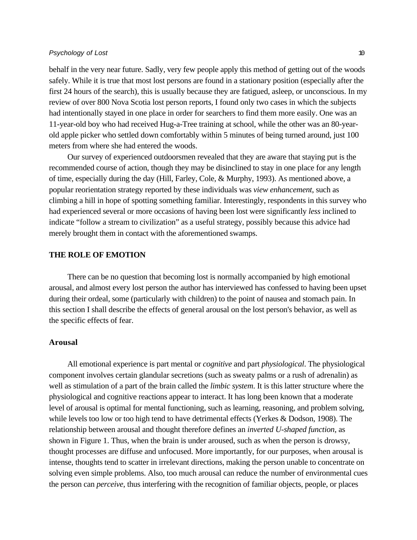behalf in the very near future. Sadly, very few people apply this method of getting out of the woods safely. While it is true that most lost persons are found in a stationary position (especially after the first 24 hours of the search), this is usually because they are fatigued, asleep, or unconscious. In my review of over 800 Nova Scotia lost person reports, I found only two cases in which the subjects had intentionally stayed in one place in order for searchers to find them more easily. One was an 11-year-old boy who had received Hug-a-Tree training at school, while the other was an 80-yearold apple picker who settled down comfortably within 5 minutes of being turned around, just 100 meters from where she had entered the woods.

Our survey of experienced outdoorsmen revealed that they are aware that staying put is the recommended course of action, though they may be disinclined to stay in one place for any length of time, especially during the day (Hill, Farley, Cole, & Murphy, 1993). As mentioned above, a popular reorientation strategy reported by these individuals was *view enhancement*, such as climbing a hill in hope of spotting something familiar. Interestingly, respondents in this survey who had experienced several or more occasions of having been lost were significantly *less* inclined to indicate "follow a stream to civilization" as a useful strategy, possibly because this advice had merely brought them in contact with the aforementioned swamps.

# **THE ROLE OF EMOTION**

There can be no question that becoming lost is normally accompanied by high emotional arousal, and almost every lost person the author has interviewed has confessed to having been upset during their ordeal, some (particularly with children) to the point of nausea and stomach pain. In this section I shall describe the effects of general arousal on the lost person's behavior, as well as the specific effects of fear.

#### **Arousal**

All emotional experience is part mental or *cognitive* and part *physiological*. The physiological component involves certain glandular secretions (such as sweaty palms or a rush of adrenalin) as well as stimulation of a part of the brain called the *limbic system*. It is this latter structure where the physiological and cognitive reactions appear to interact. It has long been known that a moderate level of arousal is optimal for mental functioning, such as learning, reasoning, and problem solving, while levels too low or too high tend to have detrimental effects (Yerkes & Dodson, 1908). The relationship between arousal and thought therefore defines an *inverted U-shaped function*, as shown in Figure 1. Thus, when the brain is under aroused, such as when the person is drowsy, thought processes are diffuse and unfocused. More importantly, for our purposes, when arousal is intense, thoughts tend to scatter in irrelevant directions, making the person unable to concentrate on solving even simple problems. Also, too much arousal can reduce the number of environmental cues the person can *perceive*, thus interfering with the recognition of familiar objects, people, or places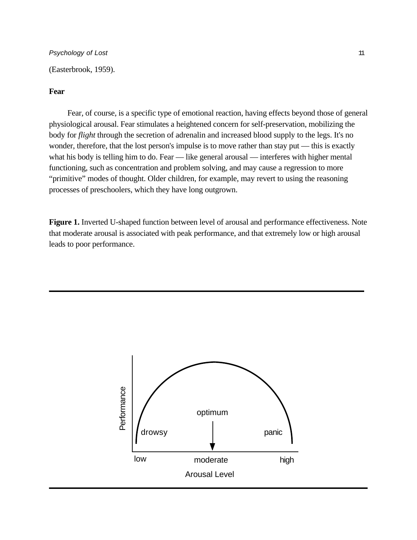(Easterbrook, 1959).

# **Fear**

Fear, of course, is a specific type of emotional reaction, having effects beyond those of general physiological arousal. Fear stimulates a heightened concern for self-preservation, mobilizing the body for *flight* through the secretion of adrenalin and increased blood supply to the legs. It's no wonder, therefore, that the lost person's impulse is to move rather than stay put — this is exactly what his body is telling him to do. Fear — like general arousal — interferes with higher mental functioning, such as concentration and problem solving, and may cause a regression to more "primitive" modes of thought. Older children, for example, may revert to using the reasoning processes of preschoolers, which they have long outgrown.

**Figure 1.** Inverted U-shaped function between level of arousal and performance effectiveness. Note that moderate arousal is associated with peak performance, and that extremely low or high arousal leads to poor performance.

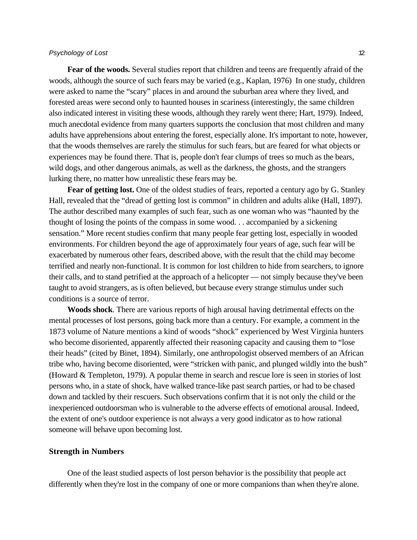**Fear of the woods.** Several studies report that children and teens are frequently afraid of the woods, although the source of such fears may be varied (e.g., Kaplan, 1976) In one study, children were asked to name the "scary" places in and around the suburban area where they lived, and forested areas were second only to haunted houses in scariness (interestingly, the same children also indicated interest in visiting these woods, although they rarely went there; Hart, 1979). Indeed, much anecdotal evidence from many quarters supports the conclusion that most children and many adults have apprehensions about entering the forest, especially alone. It's important to note, however, that the woods themselves are rarely the stimulus for such fears, but are feared for what objects or experiences may be found there. That is, people don't fear clumps of trees so much as the bears, wild dogs, and other dangerous animals, as well as the darkness, the ghosts, and the strangers lurking there, no matter how unrealistic these fears may be.

**Fear of getting lost.** One of the oldest studies of fears, reported a century ago by G. Stanley Hall, revealed that the "dread of getting lost is common" in children and adults alike (Hall, 1897). The author described many examples of such fear, such as one woman who was "haunted by the thought of losing the points of the compass in some wood. . . accompanied by a sickening sensation." More recent studies confirm that many people fear getting lost, especially in wooded environments. For children beyond the age of approximately four years of age, such fear will be exacerbated by numerous other fears, described above, with the result that the child may become terrified and nearly non-functional. It is common for lost children to hide from searchers, to ignore their calls, and to stand petrified at the approach of a helicopter — not simply because they've been taught to avoid strangers, as is often believed, but because every strange stimulus under such conditions is a source of terror.

**Woods shock**. There are various reports of high arousal having detrimental effects on the mental processes of lost persons, going back more than a century. For example, a comment in the 1873 volume of Nature mentions a kind of woods "shock" experienced by West Virginia hunters who become disoriented, apparently affected their reasoning capacity and causing them to "lose their heads" (cited by Binet, 1894). Similarly, one anthropologist observed members of an African tribe who, having become disoriented, were "stricken with panic, and plunged wildly into the bush" (Howard & Templeton, 1979). A popular theme in search and rescue lore is seen in stories of lost persons who, in a state of shock, have walked trance-like past search parties, or had to be chased down and tackled by their rescuers. Such observations confirm that it is not only the child or the inexperienced outdoorsman who is vulnerable to the adverse effects of emotional arousal. Indeed, the extent of one's outdoor experience is not always a very good indicator as to how rational someone will behave upon becoming lost.

## **Strength in Numbers**

One of the least studied aspects of lost person behavior is the possibility that people act differently when they're lost in the company of one or more companions than when they're alone.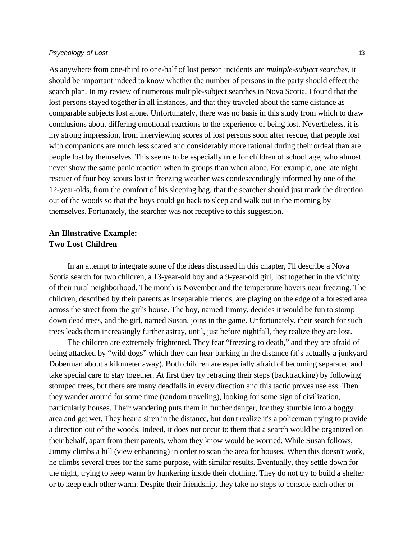As anywhere from one-third to one-half of lost person incidents are *multiple-subject searches*, it should be important indeed to know whether the number of persons in the party should effect the search plan. In my review of numerous multiple-subject searches in Nova Scotia, I found that the lost persons stayed together in all instances, and that they traveled about the same distance as comparable subjects lost alone. Unfortunately, there was no basis in this study from which to draw conclusions about differing emotional reactions to the experience of being lost. Nevertheless, it is my strong impression, from interviewing scores of lost persons soon after rescue, that people lost with companions are much less scared and considerably more rational during their ordeal than are people lost by themselves. This seems to be especially true for children of school age, who almost never show the same panic reaction when in groups than when alone. For example, one late night rescuer of four boy scouts lost in freezing weather was condescendingly informed by one of the 12-year-olds, from the comfort of his sleeping bag, that the searcher should just mark the direction out of the woods so that the boys could go back to sleep and walk out in the morning by themselves. Fortunately, the searcher was not receptive to this suggestion.

# **An Illustrative Example: Two Lost Children**

In an attempt to integrate some of the ideas discussed in this chapter, I'll describe a Nova Scotia search for two children, a 13-year-old boy and a 9-year-old girl, lost together in the vicinity of their rural neighborhood. The month is November and the temperature hovers near freezing. The children, described by their parents as inseparable friends, are playing on the edge of a forested area across the street from the girl's house. The boy, named Jimmy, decides it would be fun to stomp down dead trees, and the girl, named Susan, joins in the game. Unfortunately, their search for such trees leads them increasingly further astray, until, just before nightfall, they realize they are lost.

The children are extremely frightened. They fear "freezing to death," and they are afraid of being attacked by "wild dogs" which they can hear barking in the distance (it's actually a junkyard Doberman about a kilometer away). Both children are especially afraid of becoming separated and take special care to stay together. At first they try retracing their steps (backtracking) by following stomped trees, but there are many deadfalls in every direction and this tactic proves useless. Then they wander around for some time (random traveling), looking for some sign of civilization, particularly houses. Their wandering puts them in further danger, for they stumble into a boggy area and get wet. They hear a siren in the distance, but don't realize it's a policeman trying to provide a direction out of the woods. Indeed, it does not occur to them that a search would be organized on their behalf, apart from their parents, whom they know would be worried. While Susan follows, Jimmy climbs a hill (view enhancing) in order to scan the area for houses. When this doesn't work, he climbs several trees for the same purpose, with similar results. Eventually, they settle down for the night, trying to keep warm by hunkering inside their clothing. They do not try to build a shelter or to keep each other warm. Despite their friendship, they take no steps to console each other or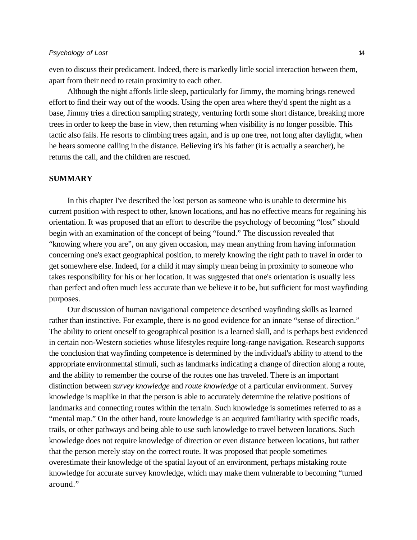even to discuss their predicament. Indeed, there is markedly little social interaction between them, apart from their need to retain proximity to each other.

Although the night affords little sleep, particularly for Jimmy, the morning brings renewed effort to find their way out of the woods. Using the open area where they'd spent the night as a base, Jimmy tries a direction sampling strategy, venturing forth some short distance, breaking more trees in order to keep the base in view, then returning when visibility is no longer possible. This tactic also fails. He resorts to climbing trees again, and is up one tree, not long after daylight, when he hears someone calling in the distance. Believing it's his father (it is actually a searcher), he returns the call, and the children are rescued.

#### **SUMMARY**

In this chapter I've described the lost person as someone who is unable to determine his current position with respect to other, known locations, and has no effective means for regaining his orientation. It was proposed that an effort to describe the psychology of becoming "lost" should begin with an examination of the concept of being "found." The discussion revealed that "knowing where you are", on any given occasion, may mean anything from having information concerning one's exact geographical position, to merely knowing the right path to travel in order to get somewhere else. Indeed, for a child it may simply mean being in proximity to someone who takes responsibility for his or her location. It was suggested that one's orientation is usually less than perfect and often much less accurate than we believe it to be, but sufficient for most wayfinding purposes.

Our discussion of human navigational competence described wayfinding skills as learned rather than instinctive. For example, there is no good evidence for an innate "sense of direction." The ability to orient oneself to geographical position is a learned skill, and is perhaps best evidenced in certain non-Western societies whose lifestyles require long-range navigation. Research supports the conclusion that wayfinding competence is determined by the individual's ability to attend to the appropriate environmental stimuli, such as landmarks indicating a change of direction along a route, and the ability to remember the course of the routes one has traveled. There is an important distinction between *survey knowledge* and *route knowledge* of a particular environment. Survey knowledge is maplike in that the person is able to accurately determine the relative positions of landmarks and connecting routes within the terrain. Such knowledge is sometimes referred to as a "mental map." On the other hand, route knowledge is an acquired familiarity with specific roads, trails, or other pathways and being able to use such knowledge to travel between locations. Such knowledge does not require knowledge of direction or even distance between locations, but rather that the person merely stay on the correct route. It was proposed that people sometimes overestimate their knowledge of the spatial layout of an environment, perhaps mistaking route knowledge for accurate survey knowledge, which may make them vulnerable to becoming "turned around."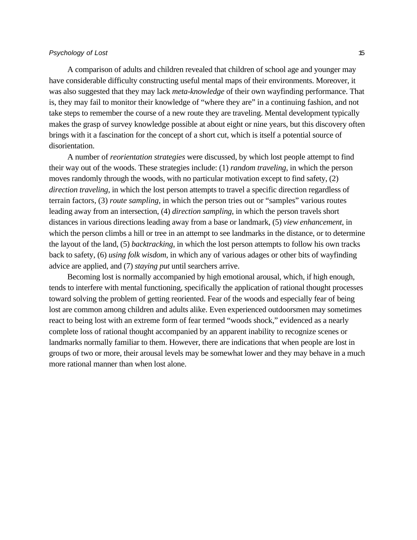A comparison of adults and children revealed that children of school age and younger may have considerable difficulty constructing useful mental maps of their environments. Moreover, it was also suggested that they may lack *meta-knowledge* of their own wayfinding performance. That is, they may fail to monitor their knowledge of "where they are" in a continuing fashion, and not take steps to remember the course of a new route they are traveling. Mental development typically makes the grasp of survey knowledge possible at about eight or nine years, but this discovery often brings with it a fascination for the concept of a short cut, which is itself a potential source of disorientation.

A number of *reorientation strategies* were discussed, by which lost people attempt to find their way out of the woods. These strategies include: (1) *random traveling*, in which the person moves randomly through the woods, with no particular motivation except to find safety, (2) *direction traveling*, in which the lost person attempts to travel a specific direction regardless of terrain factors, (3) *route sampling,* in which the person tries out or "samples" various routes leading away from an intersection, (4) *direction sampling*, in which the person travels short distances in various directions leading away from a base or landmark, (5) *view enhancement*, in which the person climbs a hill or tree in an attempt to see landmarks in the distance, or to determine the layout of the land, (5) *backtracking*, in which the lost person attempts to follow his own tracks back to safety, (6) *using folk wisdom*, in which any of various adages or other bits of wayfinding advice are applied, and (7) *staying put* until searchers arrive.

Becoming lost is normally accompanied by high emotional arousal, which, if high enough, tends to interfere with mental functioning, specifically the application of rational thought processes toward solving the problem of getting reoriented. Fear of the woods and especially fear of being lost are common among children and adults alike. Even experienced outdoorsmen may sometimes react to being lost with an extreme form of fear termed "woods shock," evidenced as a nearly complete loss of rational thought accompanied by an apparent inability to recognize scenes or landmarks normally familiar to them. However, there are indications that when people are lost in groups of two or more, their arousal levels may be somewhat lower and they may behave in a much more rational manner than when lost alone.